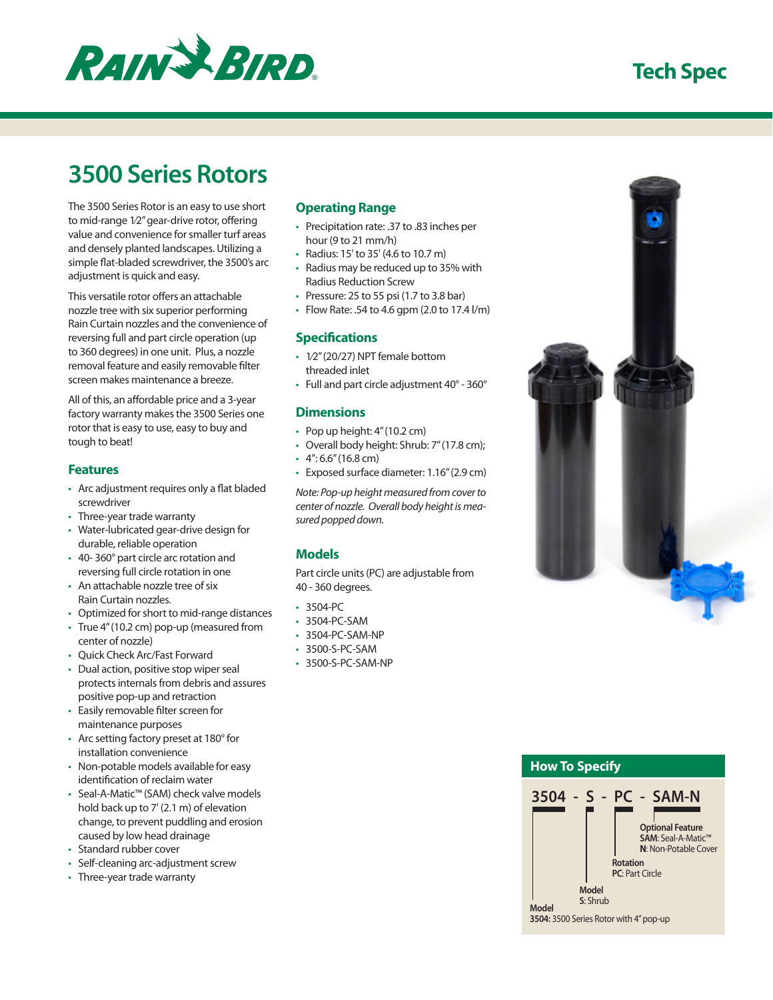

# **Tech Spec**

# **3500 Series Rotors**

The 3500 Series Rotor is an easy to use short to mid-range 1⁄2" gear-drive rotor, offering value and convenience for smaller turf areas and densely planted landscapes. Utilizing a simple flat-bladed screwdriver, the 3500's arc adjustment is quick and easy.

This versatile rotor offers an attachable nozzle tree with six superior performing Rain Curtain nozzles and the convenience of reversing full and part circle operation (up to 360 degrees) in one unit. Plus, a nozzle removal feature and easily removable filter screen makes maintenance a breeze.

All of this, an affordable price and a 3-year factory warranty makes the 3500 Series one rotor that is easy to use, easy to buy and tough to beat!

## **Features**

- • Arc adjustment requires only a flat bladed screwdriver
- Three-year trade warranty
- • Water-lubricated gear-drive design for durable, reliable operation
- • 40- 360° part circle arc rotation and reversing full circle rotation in one
- An attachable nozzle tree of six Rain Curtain nozzles.
- • Optimized for short to mid-range distances
- • True 4" (10.2 cm) pop-up (measured from center of nozzle)
- • Quick Check Arc/Fast Forward
- Dual action, positive stop wiper seal protects internals from debris and assures positive pop-up and retraction
- • Easily removable filter screen for maintenance purposes
- Arc setting factory preset at 180° for installation convenience
- • Non-potable models available for easy identification of reclaim water
- Seal-A-Matic™ (SAM) check valve models hold back up to 7' (2.1 m) of elevation change, to prevent puddling and erosion caused by low head drainage
- Standard rubber cover
- Self-cleaning arc-adjustment screw
- • Three-year trade warranty

### **Operating Range**

- • Precipitation rate: .37 to .83 inches per hour (9 to 21 mm/h)
- • Radius: 15' to 35' (4.6 to 10.7 m)
- • Radius may be reduced up to 35% with Radius Reduction Screw
- Pressure: 25 to 55 psi (1.7 to 3.8 bar)
- Flow Rate: .54 to 4.6 gpm (2.0 to 17.4  $1/m$ )

### **Specifications**

- • 1⁄2" (20/27) NPT female bottom threaded inlet
- Full and part circle adjustment 40° 360°

### **Dimensions**

- Pop up height: 4" (10.2 cm)
- Overall body height: Shrub: 7" (17.8 cm);
- $\cdot$  4": 6.6" (16.8 cm)
- • Exposed surface diameter: 1.16" (2.9 cm)

*Note: Pop-up height measured from cover to center of nozzle. Overall body height is measured popped down.*

## **Models**

Part circle units (PC) are adjustable from 40 - 360 degrees.

- $3504-PC$
- • 3504-PC-SAM
- 3504-PC-SAM-NP
- 3500-S-PC-SAM
- • 3500-S-PC-SAM-NP



# **How To Specify 3504 - S - PC - SAM-N Model Model S**: Shrub **Rotation PC**: Part Circle **Optional Feature SAM**: Seal-A-Matic™ **N**: Non-Potable Cover

**3504:** 3500 Series Rotor with 4" pop-up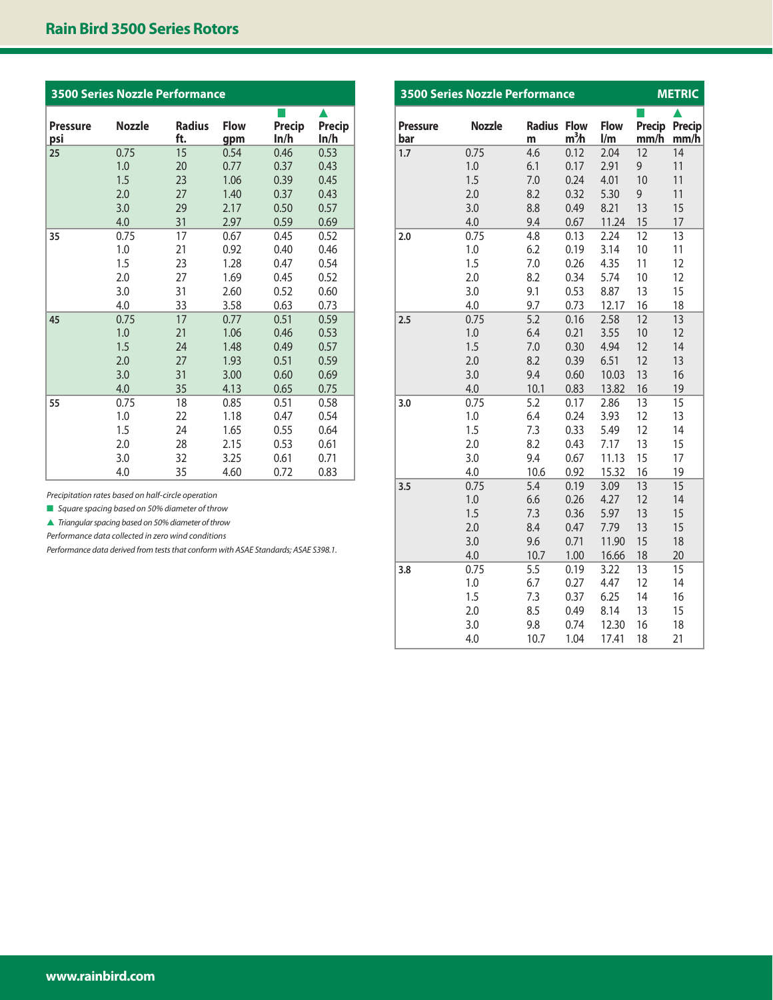# **Rain Bird 3500 Series Rotors**

| <b>3500 Series Nozzle Performance</b> |               |                      |                    |                       |                |  |  |  |  |
|---------------------------------------|---------------|----------------------|--------------------|-----------------------|----------------|--|--|--|--|
| <b>Pressure</b><br>psi                | <b>Nozzle</b> | <b>Radius</b><br>ft. | <b>Flow</b><br>qpm | <b>Precip</b><br>ln/h | Precip<br>ln/h |  |  |  |  |
| 25                                    | 0.75          | 15                   | 0.54               | 0.46                  | 0.53           |  |  |  |  |
|                                       | 1.0           | 20                   | 0.77               | 0.37                  | 0.43           |  |  |  |  |
|                                       | 1.5           | 23                   | 1.06               | 0.39                  | 0.45           |  |  |  |  |
|                                       | 2.0           | 27                   | 1.40               | 0.37                  | 0.43           |  |  |  |  |
|                                       | 3.0           | 29                   | 2.17               | 0.50                  | 0.57           |  |  |  |  |
|                                       | 4.0           | 31                   | 2.97               | 0.59                  | 0.69           |  |  |  |  |
| 35                                    | 0.75          | 17                   | 0.67               | 0.45                  | 0.52           |  |  |  |  |
|                                       | 1.0           | 21                   | 0.92               | 0.40                  | 0.46           |  |  |  |  |
|                                       | 1.5           | 23                   | 1.28               | 0.47                  | 0.54           |  |  |  |  |
|                                       | 2.0           | 27                   | 1.69               | 0.45                  | 0.52           |  |  |  |  |
|                                       | 3.0           | 31                   | 2.60               | 0.52                  | 0.60           |  |  |  |  |
|                                       | 4.0           | 33                   | 3.58               | 0.63                  | 0.73           |  |  |  |  |
| 45                                    | 0.75          | 17                   | 0.77               | 0.51                  | 0.59           |  |  |  |  |
|                                       | 1.0           | 21                   | 1.06               | 0.46                  | 0.53           |  |  |  |  |
|                                       | 1.5           | 24                   | 1.48               | 0.49                  | 0.57           |  |  |  |  |
|                                       | 2.0           | 27                   | 1.93               | 0.51                  | 0.59           |  |  |  |  |
|                                       | 3.0           | 31                   | 3.00               | 0.60                  | 0.69           |  |  |  |  |
|                                       | 4.0           | 35                   | 4.13               | 0.65                  | 0.75           |  |  |  |  |
| 55                                    | 0.75          | 18                   | 0.85               | 0.51                  | 0.58           |  |  |  |  |
|                                       | 1.0           | 22                   | 1.18               | 0.47                  | 0.54           |  |  |  |  |
|                                       | 1.5           | 24                   | 1.65               | 0.55                  | 0.64           |  |  |  |  |
|                                       | 2.0           | 28                   | 2.15               | 0.53                  | 0.61           |  |  |  |  |
|                                       | 3.0           | 32                   | 3.25               | 0.61                  | 0.71           |  |  |  |  |
|                                       | 4.0           | 35                   | 4.60               | 0.72                  | 0.83           |  |  |  |  |

*Precipitation rates based on half-circle operation*

■ *Square spacing based on 50% diameter of throw* 

s *Triangular spacing based on 50% diameter of throw*

*Performance data collected in zero wind conditions*

*Performance data derived from tests that conform with ASAE Standards; ASAE S398.1.* 

| <b>3500 Series Nozzle Performance</b> | <b>METRIC</b> |                    |                                 |                    |                |                |
|---------------------------------------|---------------|--------------------|---------------------------------|--------------------|----------------|----------------|
| <b>Pressure</b><br>bar                | <b>Nozzle</b> | <b>Radius</b><br>m | <b>Flow</b><br>m <sup>3</sup> h | <b>Flow</b><br>1/m | Precip<br>mm/h | Precip<br>mm/h |
| 1.7                                   | 0.75          | 4.6                | 0.12                            | 2.04               | 12             | 14             |
|                                       | 1.0           | 6.1                | 0.17                            | 2.91               | 9              | 11             |
|                                       | 1.5           | 7.0                | 0.24                            | 4.01               | 10             | 11             |
|                                       | 2.0           | 8.2                | 0.32                            | 5.30               | 9              | 11             |
|                                       | 3.0           | 8.8                | 0.49                            | 8.21               | 13             | 15             |
|                                       | 4.0           | 9.4                | 0.67                            | 11.24              | 15             | 17             |
| 2.0                                   | 0.75          | 4.8                | 0.13                            | 2.24               | 12             | 13             |
|                                       | 1.0           | 6.2                | 0.19                            | 3.14               | 10             | 11             |
|                                       | 1.5           | 7.0                | 0.26                            | 4.35               | 11             | 12             |
|                                       | 2.0           | 8.2                | 0.34                            | 5.74               | 10             | 12             |
|                                       | 3.0           | 9.1                | 0.53                            | 8.87               | 13             | 15             |
|                                       | 4.0           | 9.7                | 0.73                            | 12.17              | 16             | 18             |
| 2.5                                   | 0.75          | 5.2                | 0.16                            | 2.58               | 12             | 13             |
|                                       | 1.0           | 6.4                | 0.21                            | 3.55               | 10             | 12             |
|                                       | 1.5           | 7.0                | 0.30                            | 4.94               | 12             | 14             |
|                                       | 2.0           | 8.2                | 0.39                            | 6.51               | 12             | 13             |
|                                       | 3.0           | 9.4                | 0.60                            | 10.03              | 13             | 16             |
|                                       | 4.0           | 10.1               | 0.83                            | 13.82              | 16             | 19             |
| 3.0                                   | 0.75          | 5.2                | 0.17                            | 2.86               | 13             | 15             |
|                                       | 1.0           | 6.4                | 0.24                            | 3.93               | 12             | 13             |
|                                       | 1.5           | 7.3                | 0.33                            | 5.49               | 12             | 14             |
|                                       | 2.0           | 8.2                | 0.43                            | 7.17               | 13             | 15             |
|                                       | 3.0           | 9.4                | 0.67                            | 11.13              | 15             | 17             |
|                                       | 4.0           | 10.6               | 0.92                            | 15.32              | 16             | 19             |
| 3.5                                   | 0.75          | 5.4                | 0.19                            | 3.09               | 13             | 15             |
|                                       | 1.0           | 6.6                | 0.26                            | 4.27               | 12             | 14             |
|                                       | 1.5           | 7.3                | 0.36                            | 5.97               | 13             | 15             |
|                                       | 2.0           | 8.4                | 0.47                            | 7.79               | 13             | 15             |
|                                       | 3.0           | 9.6                | 0.71                            | 11.90              | 15             | 18             |
|                                       | 4.0           | 10.7               | 1.00                            | 16.66              | 18             | 20             |
| 3.8                                   | 0.75          | 5.5                | 0.19                            | 3.22               | 13             | 15             |
|                                       | 1.0           | 6.7                | 0.27                            | 4.47               | 12             | 14             |
|                                       | 1.5           | 7.3                | 0.37                            | 6.25               | 14             | 16             |
|                                       | 2.0           | 8.5                | 0.49                            | 8.14               | 13             | 15             |
|                                       | 3.0           | 9.8                | 0.74                            | 12.30              | 16             | 18             |
|                                       | 4.0           | 10.7               | 1.04                            | 17.41              | 18             | 21             |